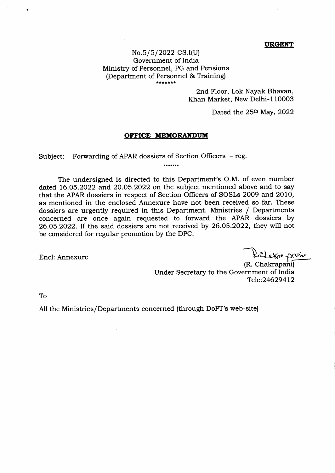## **URGENT**

## No.5/5/2022-CS.I(U) Govemment of India Ministry of Personnel, PG and Pensions (Department of Personnel & Training) \*\*\*\*\*\*\*

2nd Floor, Lok Nayak Bhavan, Khan Market, New Delhi-110003

Dated the  $25<sup>th</sup>$  May, 2022

## OFFICE MEMORANDUM

Subject: Forwarding of APAR dossiers of Section Officers – reg.<br>.......

The undersigned is directed to this Department's O.M. of even number dated 16.05.2O22 and 2O.O5.2O22 on the subject mentioned above and to say that the APAR dossiers in respect of Section Officers of SOSLs 2009 and 2010, as mentioned in the enclosed Annexure have not been received so far. These dossiers are urgently required in this Department. Ministries / Departments concerned are once again requested to forward the APAR dossiers by 26.05.2022. If the said dossiers are not received by 26.05.2022, they will not be considered for regular promotion by the DPC.

Encl: Annexure

eknepam

(R. Chakrapani) Under Secretary to the Government of India Tele:24629412

To

All the Ministries/Departments concerned (through DoPT's web-site)